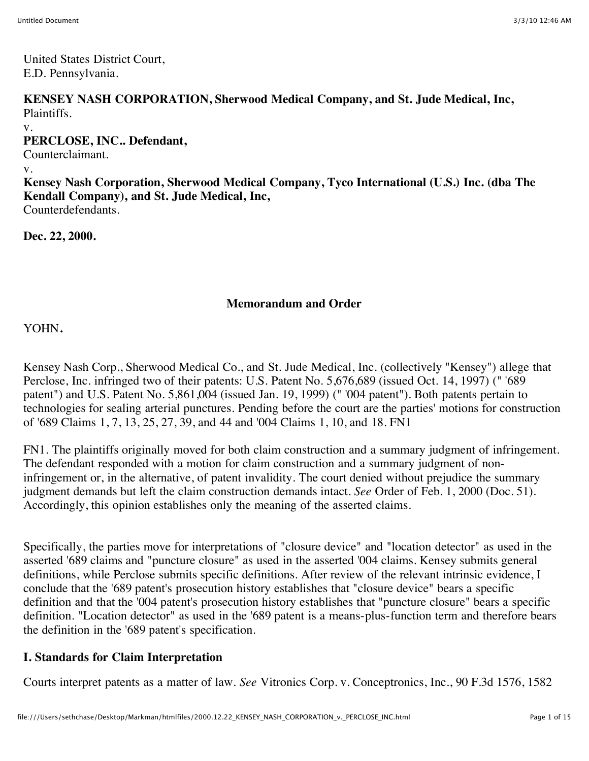United States District Court, E.D. Pennsylvania.

**KENSEY NASH CORPORATION, Sherwood Medical Company, and St. Jude Medical, Inc,** Plaintiffs.

v.

**PERCLOSE, INC.. Defendant,**

Counterclaimant.

v.

**Kensey Nash Corporation, Sherwood Medical Company, Tyco International (U.S.) Inc. (dba The Kendall Company), and St. Jude Medical, Inc,**

Counterdefendants.

**Dec. 22, 2000.**

#### **Memorandum and Order**

YOHN**.**

Kensey Nash Corp., Sherwood Medical Co., and St. Jude Medical, Inc. (collectively "Kensey") allege that Perclose, Inc. infringed two of their patents: U.S. Patent No. 5,676,689 (issued Oct. 14, 1997) (" '689 patent") and U.S. Patent No. 5,861,004 (issued Jan. 19, 1999) (" '004 patent"). Both patents pertain to technologies for sealing arterial punctures. Pending before the court are the parties' motions for construction of '689 Claims 1, 7, 13, 25, 27, 39, and 44 and '004 Claims 1, 10, and 18. FN1

FN1. The plaintiffs originally moved for both claim construction and a summary judgment of infringement. The defendant responded with a motion for claim construction and a summary judgment of noninfringement or, in the alternative, of patent invalidity. The court denied without prejudice the summary judgment demands but left the claim construction demands intact. *See* Order of Feb. 1, 2000 (Doc. 51). Accordingly, this opinion establishes only the meaning of the asserted claims.

Specifically, the parties move for interpretations of "closure device" and "location detector" as used in the asserted '689 claims and "puncture closure" as used in the asserted '004 claims. Kensey submits general definitions, while Perclose submits specific definitions. After review of the relevant intrinsic evidence, I conclude that the '689 patent's prosecution history establishes that "closure device" bears a specific definition and that the '004 patent's prosecution history establishes that "puncture closure" bears a specific definition. "Location detector" as used in the '689 patent is a means-plus-function term and therefore bears the definition in the '689 patent's specification.

## **I. Standards for Claim Interpretation**

Courts interpret patents as a matter of law. *See* Vitronics Corp. v. Conceptronics, Inc., 90 F.3d 1576, 1582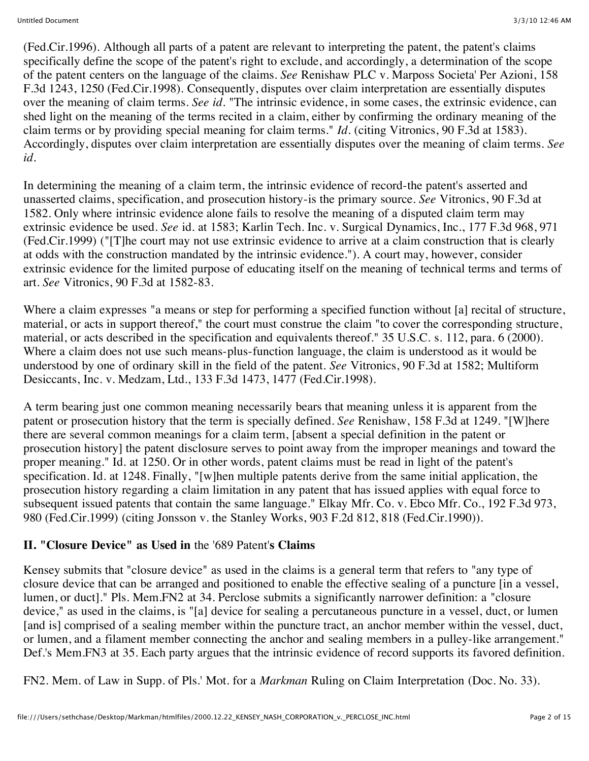(Fed.Cir.1996). Although all parts of a patent are relevant to interpreting the patent, the patent's claims specifically define the scope of the patent's right to exclude, and accordingly, a determination of the scope of the patent centers on the language of the claims. *See* Renishaw PLC v. Marposs Societa' Per Azioni, 158 F.3d 1243, 1250 (Fed.Cir.1998). Consequently, disputes over claim interpretation are essentially disputes over the meaning of claim terms. *See id.* "The intrinsic evidence, in some cases, the extrinsic evidence, can shed light on the meaning of the terms recited in a claim, either by confirming the ordinary meaning of the claim terms or by providing special meaning for claim terms." *Id.* (citing Vitronics, 90 F.3d at 1583). Accordingly, disputes over claim interpretation are essentially disputes over the meaning of claim terms. *See id.*

In determining the meaning of a claim term, the intrinsic evidence of record-the patent's asserted and unasserted claims, specification, and prosecution history-is the primary source. *See* Vitronics, 90 F.3d at 1582. Only where intrinsic evidence alone fails to resolve the meaning of a disputed claim term may extrinsic evidence be used. *See* id. at 1583; Karlin Tech. Inc. v. Surgical Dynamics, Inc., 177 F.3d 968, 971 (Fed.Cir.1999) ("[T]he court may not use extrinsic evidence to arrive at a claim construction that is clearly at odds with the construction mandated by the intrinsic evidence."). A court may, however, consider extrinsic evidence for the limited purpose of educating itself on the meaning of technical terms and terms of art. *See* Vitronics, 90 F.3d at 1582-83.

Where a claim expresses "a means or step for performing a specified function without [a] recital of structure, material, or acts in support thereof," the court must construe the claim "to cover the corresponding structure, material, or acts described in the specification and equivalents thereof." 35 U.S.C. s. 112, para. 6 (2000). Where a claim does not use such means-plus-function language, the claim is understood as it would be understood by one of ordinary skill in the field of the patent. *See* Vitronics, 90 F.3d at 1582; Multiform Desiccants, Inc. v. Medzam, Ltd., 133 F.3d 1473, 1477 (Fed.Cir.1998).

A term bearing just one common meaning necessarily bears that meaning unless it is apparent from the patent or prosecution history that the term is specially defined. *See* Renishaw, 158 F.3d at 1249. "[W]here there are several common meanings for a claim term, [absent a special definition in the patent or prosecution history] the patent disclosure serves to point away from the improper meanings and toward the proper meaning." Id. at 1250. Or in other words, patent claims must be read in light of the patent's specification. Id. at 1248. Finally, "[w]hen multiple patents derive from the same initial application, the prosecution history regarding a claim limitation in any patent that has issued applies with equal force to subsequent issued patents that contain the same language." Elkay Mfr. Co. v. Ebco Mfr. Co., 192 F.3d 973, 980 (Fed.Cir.1999) (citing Jonsson v. the Stanley Works, 903 F.2d 812, 818 (Fed.Cir.1990)).

## **II. "Closure Device" as Used in** the '689 Patent'**s Claims**

Kensey submits that "closure device" as used in the claims is a general term that refers to "any type of closure device that can be arranged and positioned to enable the effective sealing of a puncture [in a vessel, lumen, or duct]." Pls. Mem.FN2 at 34. Perclose submits a significantly narrower definition: a "closure device," as used in the claims, is "[a] device for sealing a percutaneous puncture in a vessel, duct, or lumen [and is] comprised of a sealing member within the puncture tract, an anchor member within the vessel, duct, or lumen, and a filament member connecting the anchor and sealing members in a pulley-like arrangement." Def.'s Mem.FN3 at 35. Each party argues that the intrinsic evidence of record supports its favored definition.

FN2. Mem. of Law in Supp. of Pls.' Mot. for a *Markman* Ruling on Claim Interpretation (Doc. No. 33).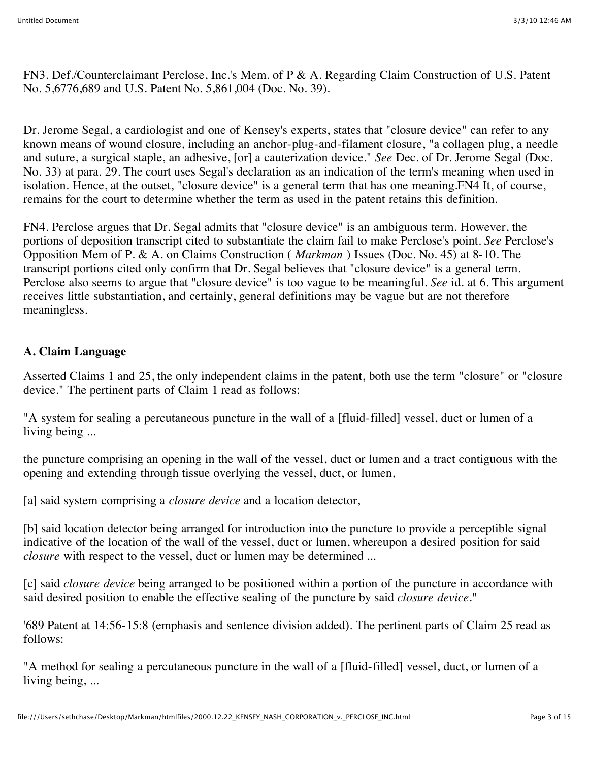FN3. Def./Counterclaimant Perclose, Inc.'s Mem. of P & A. Regarding Claim Construction of U.S. Patent No. 5,6776,689 and U.S. Patent No. 5,861,004 (Doc. No. 39).

Dr. Jerome Segal, a cardiologist and one of Kensey's experts, states that "closure device" can refer to any known means of wound closure, including an anchor-plug-and-filament closure, "a collagen plug, a needle and suture, a surgical staple, an adhesive, [or] a cauterization device." *See* Dec. of Dr. Jerome Segal (Doc. No. 33) at para. 29. The court uses Segal's declaration as an indication of the term's meaning when used in isolation. Hence, at the outset, "closure device" is a general term that has one meaning.FN4 It, of course, remains for the court to determine whether the term as used in the patent retains this definition.

FN4. Perclose argues that Dr. Segal admits that "closure device" is an ambiguous term. However, the portions of deposition transcript cited to substantiate the claim fail to make Perclose's point. *See* Perclose's Opposition Mem of P. & A. on Claims Construction ( *Markman* ) Issues (Doc. No. 45) at 8-10. The transcript portions cited only confirm that Dr. Segal believes that "closure device" is a general term. Perclose also seems to argue that "closure device" is too vague to be meaningful. *See* id. at 6. This argument receives little substantiation, and certainly, general definitions may be vague but are not therefore meaningless.

## **A. Claim Language**

Asserted Claims 1 and 25, the only independent claims in the patent, both use the term "closure" or "closure device." The pertinent parts of Claim 1 read as follows:

"A system for sealing a percutaneous puncture in the wall of a [fluid-filled] vessel, duct or lumen of a living being ...

the puncture comprising an opening in the wall of the vessel, duct or lumen and a tract contiguous with the opening and extending through tissue overlying the vessel, duct, or lumen,

[a] said system comprising a *closure device* and a location detector,

[b] said location detector being arranged for introduction into the puncture to provide a perceptible signal indicative of the location of the wall of the vessel, duct or lumen, whereupon a desired position for said *closure* with respect to the vessel, duct or lumen may be determined ...

[c] said *closure device* being arranged to be positioned within a portion of the puncture in accordance with said desired position to enable the effective sealing of the puncture by said *closure device.*"

'689 Patent at 14:56-15:8 (emphasis and sentence division added). The pertinent parts of Claim 25 read as follows:

"A method for sealing a percutaneous puncture in the wall of a [fluid-filled] vessel, duct, or lumen of a living being, ...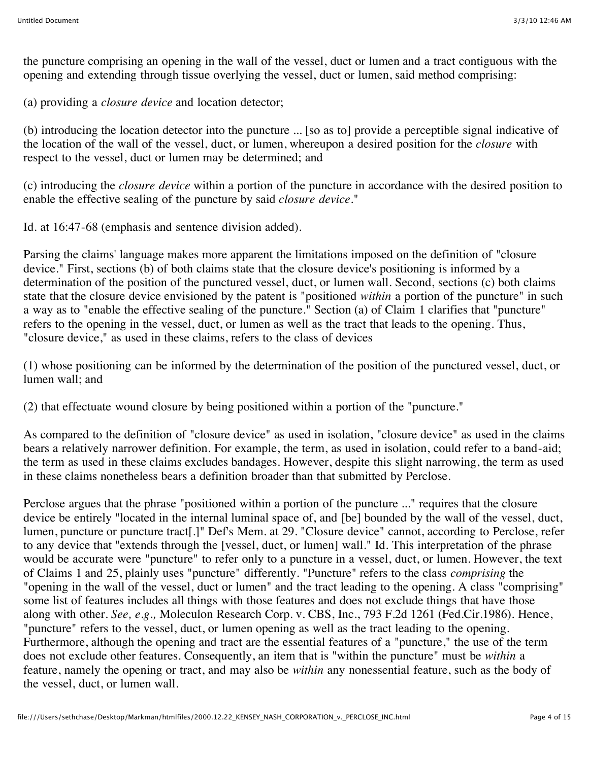the puncture comprising an opening in the wall of the vessel, duct or lumen and a tract contiguous with the opening and extending through tissue overlying the vessel, duct or lumen, said method comprising:

(a) providing a *closure device* and location detector;

(b) introducing the location detector into the puncture ... [so as to] provide a perceptible signal indicative of the location of the wall of the vessel, duct, or lumen, whereupon a desired position for the *closure* with respect to the vessel, duct or lumen may be determined; and

(c) introducing the *closure device* within a portion of the puncture in accordance with the desired position to enable the effective sealing of the puncture by said *closure device.*"

Id. at 16:47-68 (emphasis and sentence division added).

Parsing the claims' language makes more apparent the limitations imposed on the definition of "closure device." First, sections (b) of both claims state that the closure device's positioning is informed by a determination of the position of the punctured vessel, duct, or lumen wall. Second, sections (c) both claims state that the closure device envisioned by the patent is "positioned *within* a portion of the puncture" in such a way as to "enable the effective sealing of the puncture." Section (a) of Claim 1 clarifies that "puncture" refers to the opening in the vessel, duct, or lumen as well as the tract that leads to the opening. Thus, "closure device," as used in these claims, refers to the class of devices

(1) whose positioning can be informed by the determination of the position of the punctured vessel, duct, or lumen wall; and

(2) that effectuate wound closure by being positioned within a portion of the "puncture."

As compared to the definition of "closure device" as used in isolation, "closure device" as used in the claims bears a relatively narrower definition. For example, the term, as used in isolation, could refer to a band-aid; the term as used in these claims excludes bandages. However, despite this slight narrowing, the term as used in these claims nonetheless bears a definition broader than that submitted by Perclose.

Perclose argues that the phrase "positioned within a portion of the puncture ..." requires that the closure device be entirely "located in the internal luminal space of, and [be] bounded by the wall of the vessel, duct, lumen, puncture or puncture tract[.]" Def's Mem. at 29. "Closure device" cannot, according to Perclose, refer to any device that "extends through the [vessel, duct, or lumen] wall." Id. This interpretation of the phrase would be accurate were "puncture" to refer only to a puncture in a vessel, duct, or lumen. However, the text of Claims 1 and 25, plainly uses "puncture" differently. "Puncture" refers to the class *comprising* the "opening in the wall of the vessel, duct or lumen" and the tract leading to the opening. A class "comprising" some list of features includes all things with those features and does not exclude things that have those along with other. *See, e.g.,* Moleculon Research Corp. v. CBS, Inc., 793 F.2d 1261 (Fed.Cir.1986). Hence, "puncture" refers to the vessel, duct, or lumen opening as well as the tract leading to the opening. Furthermore, although the opening and tract are the essential features of a "puncture," the use of the term does not exclude other features. Consequently, an item that is "within the puncture" must be *within* a feature, namely the opening or tract, and may also be *within* any nonessential feature, such as the body of the vessel, duct, or lumen wall.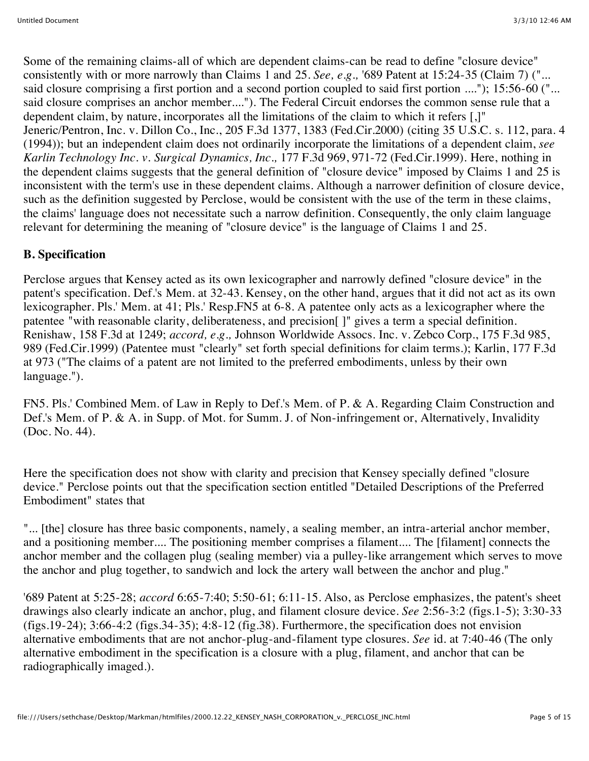Some of the remaining claims-all of which are dependent claims-can be read to define "closure device" consistently with or more narrowly than Claims 1 and 25. *See, e.g.,* '689 Patent at 15:24-35 (Claim 7) ("... said closure comprising a first portion and a second portion coupled to said first portion ...."); 15:56-60 ("... said closure comprises an anchor member...."). The Federal Circuit endorses the common sense rule that a dependent claim, by nature, incorporates all the limitations of the claim to which it refers [,]" Jeneric/Pentron, Inc. v. Dillon Co., Inc., 205 F.3d 1377, 1383 (Fed.Cir.2000) (citing 35 U.S.C. s. 112, para. 4 (1994)); but an independent claim does not ordinarily incorporate the limitations of a dependent claim, *see Karlin Technology Inc. v. Surgical Dynamics, Inc.,* 177 F.3d 969, 971-72 (Fed.Cir.1999). Here, nothing in the dependent claims suggests that the general definition of "closure device" imposed by Claims 1 and 25 is inconsistent with the term's use in these dependent claims. Although a narrower definition of closure device, such as the definition suggested by Perclose, would be consistent with the use of the term in these claims, the claims' language does not necessitate such a narrow definition. Consequently, the only claim language relevant for determining the meaning of "closure device" is the language of Claims 1 and 25.

# **B. Specification**

Perclose argues that Kensey acted as its own lexicographer and narrowly defined "closure device" in the patent's specification. Def.'s Mem. at 32-43. Kensey, on the other hand, argues that it did not act as its own lexicographer. Pls.' Mem. at 41; Pls.' Resp.FN5 at 6-8. A patentee only acts as a lexicographer where the patentee "with reasonable clarity, deliberateness, and precision[ ]" gives a term a special definition. Renishaw, 158 F.3d at 1249; *accord, e.g.,* Johnson Worldwide Assocs. Inc. v. Zebco Corp., 175 F.3d 985, 989 (Fed.Cir.1999) (Patentee must "clearly" set forth special definitions for claim terms.); Karlin, 177 F.3d at 973 ("The claims of a patent are not limited to the preferred embodiments, unless by their own language.").

FN5. Pls.' Combined Mem. of Law in Reply to Def.'s Mem. of P. & A. Regarding Claim Construction and Def.'s Mem. of P. & A. in Supp. of Mot. for Summ. J. of Non-infringement or, Alternatively, Invalidity (Doc. No. 44).

Here the specification does not show with clarity and precision that Kensey specially defined "closure device." Perclose points out that the specification section entitled "Detailed Descriptions of the Preferred Embodiment" states that

"... [the] closure has three basic components, namely, a sealing member, an intra-arterial anchor member, and a positioning member.... The positioning member comprises a filament.... The [filament] connects the anchor member and the collagen plug (sealing member) via a pulley-like arrangement which serves to move the anchor and plug together, to sandwich and lock the artery wall between the anchor and plug."

'689 Patent at 5:25-28; *accord* 6:65-7:40; 5:50-61; 6:11-15. Also, as Perclose emphasizes, the patent's sheet drawings also clearly indicate an anchor, plug, and filament closure device. *See* 2:56-3:2 (figs.1-5); 3:30-33 (figs.19-24); 3:66-4:2 (figs.34-35); 4:8-12 (fig.38). Furthermore, the specification does not envision alternative embodiments that are not anchor-plug-and-filament type closures. *See* id. at 7:40-46 (The only alternative embodiment in the specification is a closure with a plug, filament, and anchor that can be radiographically imaged.).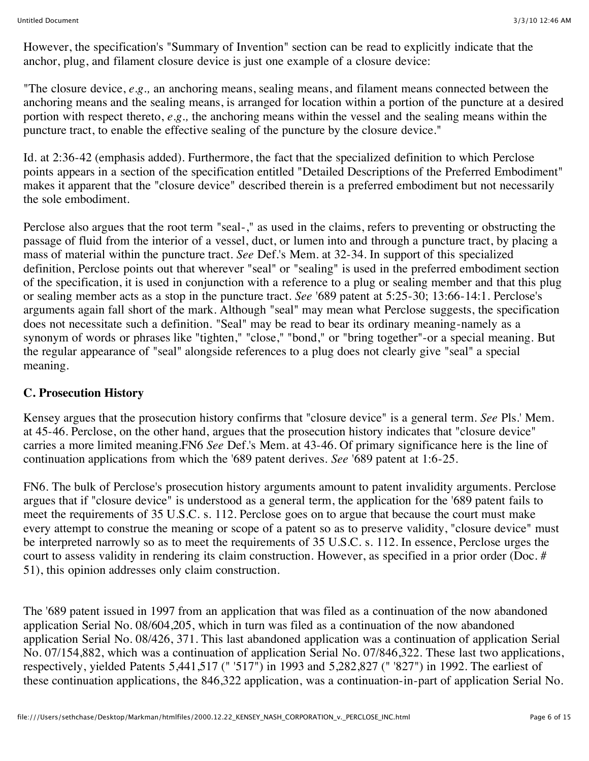However, the specification's "Summary of Invention" section can be read to explicitly indicate that the anchor, plug, and filament closure device is just one example of a closure device:

"The closure device, *e.g.,* an anchoring means, sealing means, and filament means connected between the anchoring means and the sealing means, is arranged for location within a portion of the puncture at a desired portion with respect thereto, *e.g.,* the anchoring means within the vessel and the sealing means within the puncture tract, to enable the effective sealing of the puncture by the closure device."

Id. at 2:36-42 (emphasis added). Furthermore, the fact that the specialized definition to which Perclose points appears in a section of the specification entitled "Detailed Descriptions of the Preferred Embodiment" makes it apparent that the "closure device" described therein is a preferred embodiment but not necessarily the sole embodiment.

Perclose also argues that the root term "seal-," as used in the claims, refers to preventing or obstructing the passage of fluid from the interior of a vessel, duct, or lumen into and through a puncture tract, by placing a mass of material within the puncture tract. *See* Def.'s Mem. at 32-34. In support of this specialized definition, Perclose points out that wherever "seal" or "sealing" is used in the preferred embodiment section of the specification, it is used in conjunction with a reference to a plug or sealing member and that this plug or sealing member acts as a stop in the puncture tract. *See* '689 patent at 5:25-30; 13:66-14:1. Perclose's arguments again fall short of the mark. Although "seal" may mean what Perclose suggests, the specification does not necessitate such a definition. "Seal" may be read to bear its ordinary meaning-namely as a synonym of words or phrases like "tighten," "close," "bond," or "bring together"-or a special meaning. But the regular appearance of "seal" alongside references to a plug does not clearly give "seal" a special meaning.

#### **C. Prosecution History**

Kensey argues that the prosecution history confirms that "closure device" is a general term. *See* Pls.' Mem. at 45-46. Perclose, on the other hand, argues that the prosecution history indicates that "closure device" carries a more limited meaning.FN6 *See* Def.'s Mem. at 43-46. Of primary significance here is the line of continuation applications from which the '689 patent derives. *See* '689 patent at 1:6-25.

FN6. The bulk of Perclose's prosecution history arguments amount to patent invalidity arguments. Perclose argues that if "closure device" is understood as a general term, the application for the '689 patent fails to meet the requirements of 35 U.S.C. s. 112. Perclose goes on to argue that because the court must make every attempt to construe the meaning or scope of a patent so as to preserve validity, "closure device" must be interpreted narrowly so as to meet the requirements of 35 U.S.C. s. 112. In essence, Perclose urges the court to assess validity in rendering its claim construction. However, as specified in a prior order (Doc. # 51), this opinion addresses only claim construction.

The '689 patent issued in 1997 from an application that was filed as a continuation of the now abandoned application Serial No. 08/604,205, which in turn was filed as a continuation of the now abandoned application Serial No. 08/426, 371. This last abandoned application was a continuation of application Serial No. 07/154,882, which was a continuation of application Serial No. 07/846,322. These last two applications, respectively, yielded Patents 5,441,517 (" '517") in 1993 and 5,282,827 (" '827") in 1992. The earliest of these continuation applications, the 846,322 application, was a continuation-in-part of application Serial No.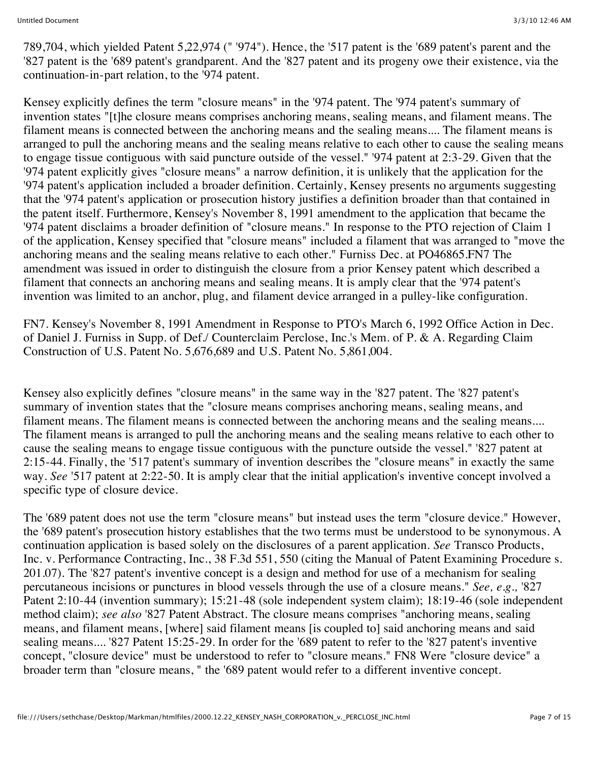789,704, which yielded Patent 5,22,974 (" '974"). Hence, the '517 patent is the '689 patent's parent and the '827 patent is the '689 patent's grandparent. And the '827 patent and its progeny owe their existence, via the continuation-in-part relation, to the '974 patent.

Kensey explicitly defines the term "closure means" in the '974 patent. The '974 patent's summary of invention states "[t]he closure means comprises anchoring means, sealing means, and filament means. The filament means is connected between the anchoring means and the sealing means.... The filament means is arranged to pull the anchoring means and the sealing means relative to each other to cause the sealing means to engage tissue contiguous with said puncture outside of the vessel." '974 patent at 2:3-29. Given that the '974 patent explicitly gives "closure means" a narrow definition, it is unlikely that the application for the '974 patent's application included a broader definition. Certainly, Kensey presents no arguments suggesting that the '974 patent's application or prosecution history justifies a definition broader than that contained in the patent itself. Furthermore, Kensey's November 8, 1991 amendment to the application that became the '974 patent disclaims a broader definition of "closure means." In response to the PTO rejection of Claim 1 of the application, Kensey specified that "closure means" included a filament that was arranged to "move the anchoring means and the sealing means relative to each other." Furniss Dec. at PO46865.FN7 The amendment was issued in order to distinguish the closure from a prior Kensey patent which described a filament that connects an anchoring means and sealing means. It is amply clear that the '974 patent's invention was limited to an anchor, plug, and filament device arranged in a pulley-like configuration.

FN7. Kensey's November 8, 1991 Amendment in Response to PTO's March 6, 1992 Office Action in Dec. of Daniel J. Furniss in Supp. of Def./ Counterclaim Perclose, Inc.'s Mem. of P. & A. Regarding Claim Construction of U.S. Patent No. 5,676,689 and U.S. Patent No. 5,861,004.

Kensey also explicitly defines "closure means" in the same way in the '827 patent. The '827 patent's summary of invention states that the "closure means comprises anchoring means, sealing means, and filament means. The filament means is connected between the anchoring means and the sealing means.... The filament means is arranged to pull the anchoring means and the sealing means relative to each other to cause the sealing means to engage tissue contiguous with the puncture outside the vessel." '827 patent at 2:15-44. Finally, the '517 patent's summary of invention describes the "closure means" in exactly the same way. *See* '517 patent at 2:22-50. It is amply clear that the initial application's inventive concept involved a specific type of closure device.

The '689 patent does not use the term "closure means" but instead uses the term "closure device." However, the '689 patent's prosecution history establishes that the two terms must be understood to be synonymous. A continuation application is based solely on the disclosures of a parent application. *See* Transco Products, Inc. v. Performance Contracting, Inc., 38 F.3d 551, 550 (citing the Manual of Patent Examining Procedure s. 201.07). The '827 patent's inventive concept is a design and method for use of a mechanism for sealing percutaneous incisions or punctures in blood vessels through the use of a closure means." *See, e.g.,* '827 Patent 2:10-44 (invention summary); 15:21-48 (sole independent system claim); 18:19-46 (sole independent method claim); *see also* '827 Patent Abstract. The closure means comprises "anchoring means, sealing means, and filament means, [where] said filament means [is coupled to] said anchoring means and said sealing means.... '827 Patent 15:25-29. In order for the '689 patent to refer to the '827 patent's inventive concept, "closure device" must be understood to refer to "closure means." FN8 Were "closure device" a broader term than "closure means, " the '689 patent would refer to a different inventive concept.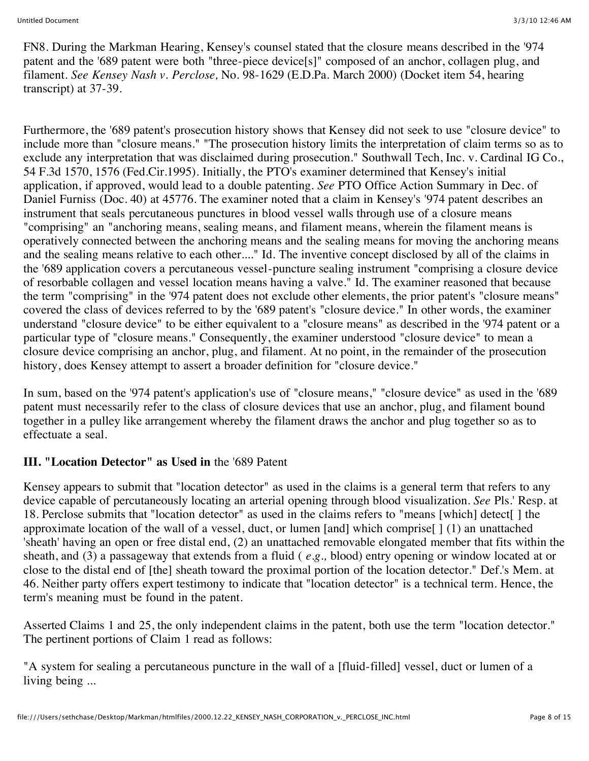FN8. During the Markman Hearing, Kensey's counsel stated that the closure means described in the '974 patent and the '689 patent were both "three-piece device[s]" composed of an anchor, collagen plug, and filament. *See Kensey Nash v. Perclose,* No. 98-1629 (E.D.Pa. March 2000) (Docket item 54, hearing transcript) at 37-39.

Furthermore, the '689 patent's prosecution history shows that Kensey did not seek to use "closure device" to include more than "closure means." "The prosecution history limits the interpretation of claim terms so as to exclude any interpretation that was disclaimed during prosecution." Southwall Tech, Inc. v. Cardinal IG Co., 54 F.3d 1570, 1576 (Fed.Cir.1995). Initially, the PTO's examiner determined that Kensey's initial application, if approved, would lead to a double patenting. *See* PTO Office Action Summary in Dec. of Daniel Furniss (Doc. 40) at 45776. The examiner noted that a claim in Kensey's '974 patent describes an instrument that seals percutaneous punctures in blood vessel walls through use of a closure means "comprising" an "anchoring means, sealing means, and filament means, wherein the filament means is operatively connected between the anchoring means and the sealing means for moving the anchoring means and the sealing means relative to each other...." Id. The inventive concept disclosed by all of the claims in the '689 application covers a percutaneous vessel-puncture sealing instrument "comprising a closure device of resorbable collagen and vessel location means having a valve." Id. The examiner reasoned that because the term "comprising" in the '974 patent does not exclude other elements, the prior patent's "closure means" covered the class of devices referred to by the '689 patent's "closure device." In other words, the examiner understand "closure device" to be either equivalent to a "closure means" as described in the '974 patent or a particular type of "closure means." Consequently, the examiner understood "closure device" to mean a closure device comprising an anchor, plug, and filament. At no point, in the remainder of the prosecution history, does Kensey attempt to assert a broader definition for "closure device."

In sum, based on the '974 patent's application's use of "closure means," "closure device" as used in the '689 patent must necessarily refer to the class of closure devices that use an anchor, plug, and filament bound together in a pulley like arrangement whereby the filament draws the anchor and plug together so as to effectuate a seal.

## **III. "Location Detector" as Used in** the '689 Patent

Kensey appears to submit that "location detector" as used in the claims is a general term that refers to any device capable of percutaneously locating an arterial opening through blood visualization. *See* Pls.' Resp. at 18. Perclose submits that "location detector" as used in the claims refers to "means [which] detect[ ] the approximate location of the wall of a vessel, duct, or lumen [and] which comprise[ ] (1) an unattached 'sheath' having an open or free distal end, (2) an unattached removable elongated member that fits within the sheath, and (3) a passageway that extends from a fluid ( *e.g.,* blood) entry opening or window located at or close to the distal end of [the] sheath toward the proximal portion of the location detector." Def.'s Mem. at 46. Neither party offers expert testimony to indicate that "location detector" is a technical term. Hence, the term's meaning must be found in the patent.

Asserted Claims 1 and 25, the only independent claims in the patent, both use the term "location detector." The pertinent portions of Claim 1 read as follows:

"A system for sealing a percutaneous puncture in the wall of a [fluid-filled] vessel, duct or lumen of a living being ...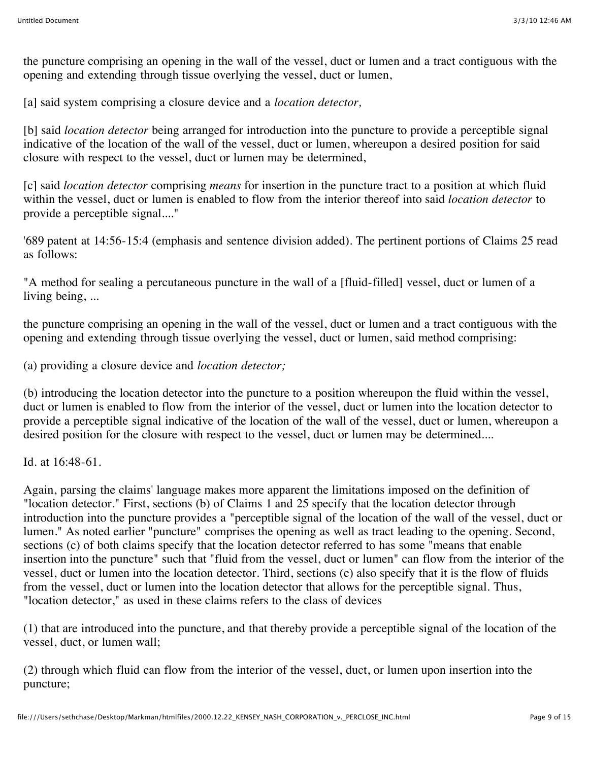the puncture comprising an opening in the wall of the vessel, duct or lumen and a tract contiguous with the opening and extending through tissue overlying the vessel, duct or lumen,

[a] said system comprising a closure device and a *location detector,*

[b] said *location detector* being arranged for introduction into the puncture to provide a perceptible signal indicative of the location of the wall of the vessel, duct or lumen, whereupon a desired position for said closure with respect to the vessel, duct or lumen may be determined,

[c] said *location detector* comprising *means* for insertion in the puncture tract to a position at which fluid within the vessel, duct or lumen is enabled to flow from the interior thereof into said *location detector* to provide a perceptible signal...."

'689 patent at 14:56-15:4 (emphasis and sentence division added). The pertinent portions of Claims 25 read as follows:

"A method for sealing a percutaneous puncture in the wall of a [fluid-filled] vessel, duct or lumen of a living being, ...

the puncture comprising an opening in the wall of the vessel, duct or lumen and a tract contiguous with the opening and extending through tissue overlying the vessel, duct or lumen, said method comprising:

(a) providing a closure device and *location detector;*

(b) introducing the location detector into the puncture to a position whereupon the fluid within the vessel, duct or lumen is enabled to flow from the interior of the vessel, duct or lumen into the location detector to provide a perceptible signal indicative of the location of the wall of the vessel, duct or lumen, whereupon a desired position for the closure with respect to the vessel, duct or lumen may be determined....

Id. at 16:48-61.

Again, parsing the claims' language makes more apparent the limitations imposed on the definition of "location detector." First, sections (b) of Claims 1 and 25 specify that the location detector through introduction into the puncture provides a "perceptible signal of the location of the wall of the vessel, duct or lumen." As noted earlier "puncture" comprises the opening as well as tract leading to the opening. Second, sections (c) of both claims specify that the location detector referred to has some "means that enable insertion into the puncture" such that "fluid from the vessel, duct or lumen" can flow from the interior of the vessel, duct or lumen into the location detector. Third, sections (c) also specify that it is the flow of fluids from the vessel, duct or lumen into the location detector that allows for the perceptible signal. Thus, "location detector," as used in these claims refers to the class of devices

(1) that are introduced into the puncture, and that thereby provide a perceptible signal of the location of the vessel, duct, or lumen wall;

(2) through which fluid can flow from the interior of the vessel, duct, or lumen upon insertion into the puncture;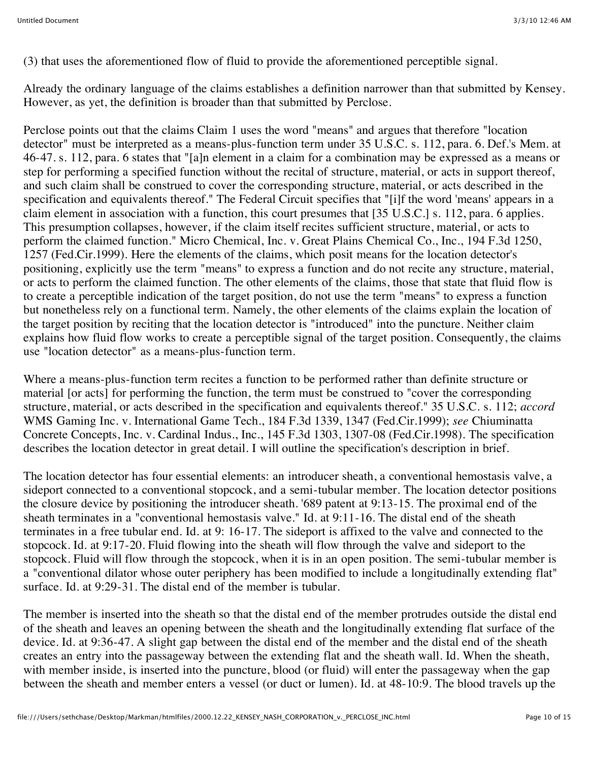(3) that uses the aforementioned flow of fluid to provide the aforementioned perceptible signal.

Already the ordinary language of the claims establishes a definition narrower than that submitted by Kensey. However, as yet, the definition is broader than that submitted by Perclose.

Perclose points out that the claims Claim 1 uses the word "means" and argues that therefore "location detector" must be interpreted as a means-plus-function term under 35 U.S.C. s. 112, para. 6. Def.'s Mem. at 46-47. s. 112, para. 6 states that "[a]n element in a claim for a combination may be expressed as a means or step for performing a specified function without the recital of structure, material, or acts in support thereof, and such claim shall be construed to cover the corresponding structure, material, or acts described in the specification and equivalents thereof." The Federal Circuit specifies that "[i]f the word 'means' appears in a claim element in association with a function, this court presumes that [35 U.S.C.] s. 112, para. 6 applies. This presumption collapses, however, if the claim itself recites sufficient structure, material, or acts to perform the claimed function." Micro Chemical, Inc. v. Great Plains Chemical Co., Inc., 194 F.3d 1250, 1257 (Fed.Cir.1999). Here the elements of the claims, which posit means for the location detector's positioning, explicitly use the term "means" to express a function and do not recite any structure, material, or acts to perform the claimed function. The other elements of the claims, those that state that fluid flow is to create a perceptible indication of the target position, do not use the term "means" to express a function but nonetheless rely on a functional term. Namely, the other elements of the claims explain the location of the target position by reciting that the location detector is "introduced" into the puncture. Neither claim explains how fluid flow works to create a perceptible signal of the target position. Consequently, the claims use "location detector" as a means-plus-function term.

Where a means-plus-function term recites a function to be performed rather than definite structure or material [or acts] for performing the function, the term must be construed to "cover the corresponding structure, material, or acts described in the specification and equivalents thereof." 35 U.S.C. s. 112; *accord* WMS Gaming Inc. v. International Game Tech., 184 F.3d 1339, 1347 (Fed.Cir.1999); *see* Chiuminatta Concrete Concepts, Inc. v. Cardinal Indus., Inc., 145 F.3d 1303, 1307-08 (Fed.Cir.1998). The specification describes the location detector in great detail. I will outline the specification's description in brief.

The location detector has four essential elements: an introducer sheath, a conventional hemostasis valve, a sideport connected to a conventional stopcock, and a semi-tubular member. The location detector positions the closure device by positioning the introducer sheath. '689 patent at 9:13-15. The proximal end of the sheath terminates in a "conventional hemostasis valve." Id. at 9:11-16. The distal end of the sheath terminates in a free tubular end. Id. at 9: 16-17. The sideport is affixed to the valve and connected to the stopcock. Id. at 9:17-20. Fluid flowing into the sheath will flow through the valve and sideport to the stopcock. Fluid will flow through the stopcock, when it is in an open position. The semi-tubular member is a "conventional dilator whose outer periphery has been modified to include a longitudinally extending flat" surface. Id. at 9:29-31. The distal end of the member is tubular.

The member is inserted into the sheath so that the distal end of the member protrudes outside the distal end of the sheath and leaves an opening between the sheath and the longitudinally extending flat surface of the device. Id. at 9:36-47. A slight gap between the distal end of the member and the distal end of the sheath creates an entry into the passageway between the extending flat and the sheath wall. Id. When the sheath, with member inside, is inserted into the puncture, blood (or fluid) will enter the passageway when the gap between the sheath and member enters a vessel (or duct or lumen). Id. at 48-10:9. The blood travels up the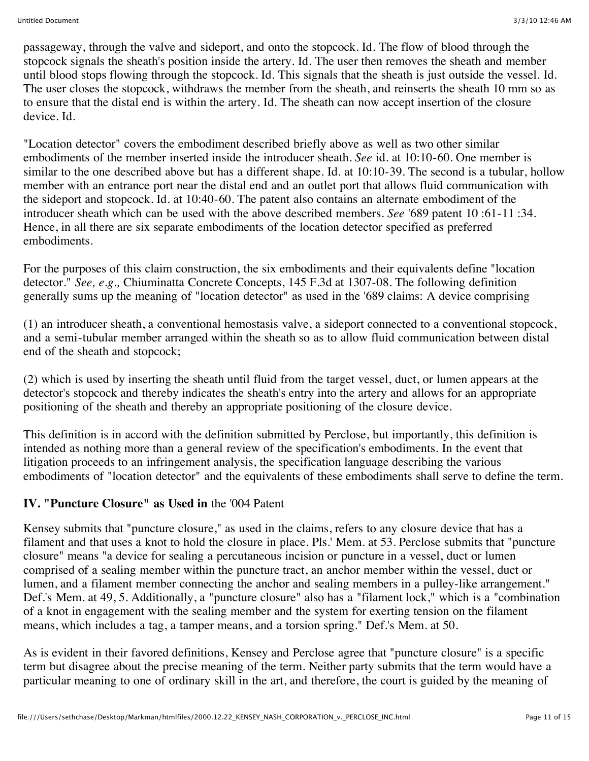passageway, through the valve and sideport, and onto the stopcock. Id. The flow of blood through the stopcock signals the sheath's position inside the artery. Id. The user then removes the sheath and member until blood stops flowing through the stopcock. Id. This signals that the sheath is just outside the vessel. Id. The user closes the stopcock, withdraws the member from the sheath, and reinserts the sheath 10 mm so as to ensure that the distal end is within the artery. Id. The sheath can now accept insertion of the closure device. Id.

"Location detector" covers the embodiment described briefly above as well as two other similar embodiments of the member inserted inside the introducer sheath. *See* id. at 10:10-60. One member is similar to the one described above but has a different shape. Id. at 10:10-39. The second is a tubular, hollow member with an entrance port near the distal end and an outlet port that allows fluid communication with the sideport and stopcock. Id. at 10:40-60. The patent also contains an alternate embodiment of the introducer sheath which can be used with the above described members. *See* '689 patent 10 :61-11 :34. Hence, in all there are six separate embodiments of the location detector specified as preferred embodiments.

For the purposes of this claim construction, the six embodiments and their equivalents define "location detector." *See, e.g.,* Chiuminatta Concrete Concepts, 145 F.3d at 1307-08. The following definition generally sums up the meaning of "location detector" as used in the '689 claims: A device comprising

(1) an introducer sheath, a conventional hemostasis valve, a sideport connected to a conventional stopcock, and a semi-tubular member arranged within the sheath so as to allow fluid communication between distal end of the sheath and stopcock;

(2) which is used by inserting the sheath until fluid from the target vessel, duct, or lumen appears at the detector's stopcock and thereby indicates the sheath's entry into the artery and allows for an appropriate positioning of the sheath and thereby an appropriate positioning of the closure device.

This definition is in accord with the definition submitted by Perclose, but importantly, this definition is intended as nothing more than a general review of the specification's embodiments. In the event that litigation proceeds to an infringement analysis, the specification language describing the various embodiments of "location detector" and the equivalents of these embodiments shall serve to define the term.

## **IV. "Puncture Closure" as Used in** the '004 Patent

Kensey submits that "puncture closure," as used in the claims, refers to any closure device that has a filament and that uses a knot to hold the closure in place. Pls.' Mem. at 53. Perclose submits that "puncture closure" means "a device for sealing a percutaneous incision or puncture in a vessel, duct or lumen comprised of a sealing member within the puncture tract, an anchor member within the vessel, duct or lumen, and a filament member connecting the anchor and sealing members in a pulley-like arrangement." Def.'s Mem. at 49, 5. Additionally, a "puncture closure" also has a "filament lock," which is a "combination of a knot in engagement with the sealing member and the system for exerting tension on the filament means, which includes a tag, a tamper means, and a torsion spring." Def.'s Mem. at 50.

As is evident in their favored definitions, Kensey and Perclose agree that "puncture closure" is a specific term but disagree about the precise meaning of the term. Neither party submits that the term would have a particular meaning to one of ordinary skill in the art, and therefore, the court is guided by the meaning of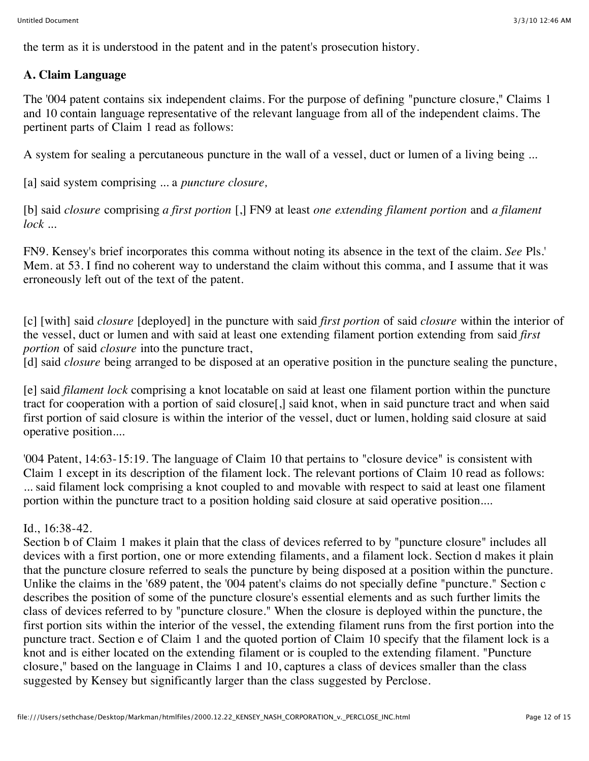the term as it is understood in the patent and in the patent's prosecution history.

# **A. Claim Language**

The '004 patent contains six independent claims. For the purpose of defining "puncture closure," Claims 1 and 10 contain language representative of the relevant language from all of the independent claims. The pertinent parts of Claim 1 read as follows:

A system for sealing a percutaneous puncture in the wall of a vessel, duct or lumen of a living being ...

[a] said system comprising ... a *puncture closure,*

[b] said *closure* comprising *a first portion* [,] FN9 at least *one extending filament portion* and *a filament lock* ...

FN9. Kensey's brief incorporates this comma without noting its absence in the text of the claim. *See* Pls.' Mem. at 53. I find no coherent way to understand the claim without this comma, and I assume that it was erroneously left out of the text of the patent.

[c] [with] said *closure* [deployed] in the puncture with said *first portion* of said *closure* within the interior of the vessel, duct or lumen and with said at least one extending filament portion extending from said *first portion* of said *closure* into the puncture tract,

[d] said *closure* being arranged to be disposed at an operative position in the puncture sealing the puncture,

[e] said *filament lock* comprising a knot locatable on said at least one filament portion within the puncture tract for cooperation with a portion of said closure[,] said knot, when in said puncture tract and when said first portion of said closure is within the interior of the vessel, duct or lumen, holding said closure at said operative position....

'004 Patent, 14:63-15:19. The language of Claim 10 that pertains to "closure device" is consistent with Claim 1 except in its description of the filament lock. The relevant portions of Claim 10 read as follows: ... said filament lock comprising a knot coupled to and movable with respect to said at least one filament portion within the puncture tract to a position holding said closure at said operative position....

## Id., 16:38-42.

Section b of Claim 1 makes it plain that the class of devices referred to by "puncture closure" includes all devices with a first portion, one or more extending filaments, and a filament lock. Section d makes it plain that the puncture closure referred to seals the puncture by being disposed at a position within the puncture. Unlike the claims in the '689 patent, the '004 patent's claims do not specially define "puncture." Section c describes the position of some of the puncture closure's essential elements and as such further limits the class of devices referred to by "puncture closure." When the closure is deployed within the puncture, the first portion sits within the interior of the vessel, the extending filament runs from the first portion into the puncture tract. Section e of Claim 1 and the quoted portion of Claim 10 specify that the filament lock is a knot and is either located on the extending filament or is coupled to the extending filament. "Puncture closure," based on the language in Claims 1 and 10, captures a class of devices smaller than the class suggested by Kensey but significantly larger than the class suggested by Perclose.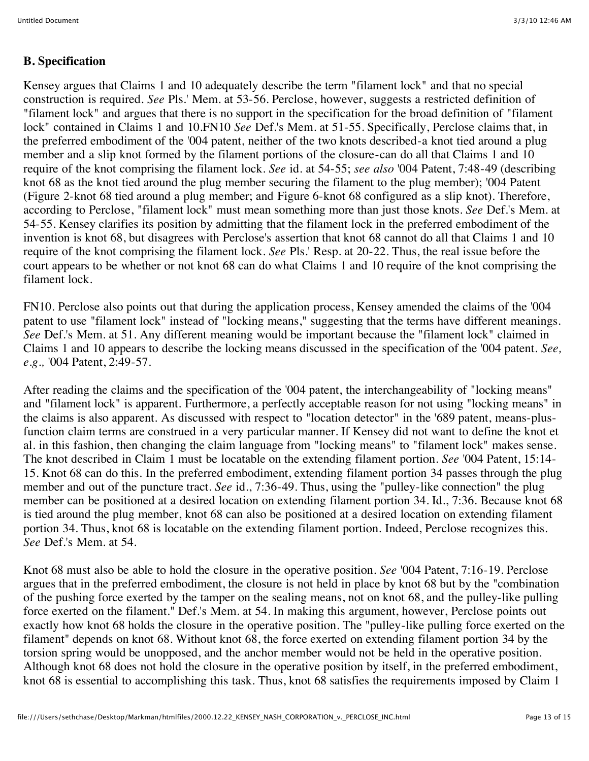#### **B. Specification**

Kensey argues that Claims 1 and 10 adequately describe the term "filament lock" and that no special construction is required. *See* Pls.' Mem. at 53-56. Perclose, however, suggests a restricted definition of "filament lock" and argues that there is no support in the specification for the broad definition of "filament lock" contained in Claims 1 and 10.FN10 *See* Def.'s Mem. at 51-55. Specifically, Perclose claims that, in the preferred embodiment of the '004 patent, neither of the two knots described-a knot tied around a plug member and a slip knot formed by the filament portions of the closure-can do all that Claims 1 and 10 require of the knot comprising the filament lock. *See* id. at 54-55; *see also* '004 Patent, 7:48-49 (describing knot 68 as the knot tied around the plug member securing the filament to the plug member); '004 Patent (Figure 2-knot 68 tied around a plug member; and Figure 6-knot 68 configured as a slip knot). Therefore, according to Perclose, "filament lock" must mean something more than just those knots. *See* Def.'s Mem. at 54-55. Kensey clarifies its position by admitting that the filament lock in the preferred embodiment of the invention is knot 68, but disagrees with Perclose's assertion that knot 68 cannot do all that Claims 1 and 10 require of the knot comprising the filament lock. *See* Pls.' Resp. at 20-22. Thus, the real issue before the court appears to be whether or not knot 68 can do what Claims 1 and 10 require of the knot comprising the filament lock.

FN10. Perclose also points out that during the application process, Kensey amended the claims of the '004 patent to use "filament lock" instead of "locking means," suggesting that the terms have different meanings. *See* Def.'s Mem. at 51. Any different meaning would be important because the "filament lock" claimed in Claims 1 and 10 appears to describe the locking means discussed in the specification of the '004 patent. *See, e.g.,* '004 Patent, 2:49-57.

After reading the claims and the specification of the '004 patent, the interchangeability of "locking means" and "filament lock" is apparent. Furthermore, a perfectly acceptable reason for not using "locking means" in the claims is also apparent. As discussed with respect to "location detector" in the '689 patent, means-plusfunction claim terms are construed in a very particular manner. If Kensey did not want to define the knot et al. in this fashion, then changing the claim language from "locking means" to "filament lock" makes sense. The knot described in Claim 1 must be locatable on the extending filament portion. *See* '004 Patent, 15:14- 15. Knot 68 can do this. In the preferred embodiment, extending filament portion 34 passes through the plug member and out of the puncture tract. *See* id., 7:36-49. Thus, using the "pulley-like connection" the plug member can be positioned at a desired location on extending filament portion 34. Id., 7:36. Because knot 68 is tied around the plug member, knot 68 can also be positioned at a desired location on extending filament portion 34. Thus, knot 68 is locatable on the extending filament portion. Indeed, Perclose recognizes this. *See* Def.'s Mem. at 54.

Knot 68 must also be able to hold the closure in the operative position. *See* '004 Patent, 7:16-19. Perclose argues that in the preferred embodiment, the closure is not held in place by knot 68 but by the "combination of the pushing force exerted by the tamper on the sealing means, not on knot 68, and the pulley-like pulling force exerted on the filament." Def.'s Mem. at 54. In making this argument, however, Perclose points out exactly how knot 68 holds the closure in the operative position. The "pulley-like pulling force exerted on the filament" depends on knot 68. Without knot 68, the force exerted on extending filament portion 34 by the torsion spring would be unopposed, and the anchor member would not be held in the operative position. Although knot 68 does not hold the closure in the operative position by itself, in the preferred embodiment, knot 68 is essential to accomplishing this task. Thus, knot 68 satisfies the requirements imposed by Claim 1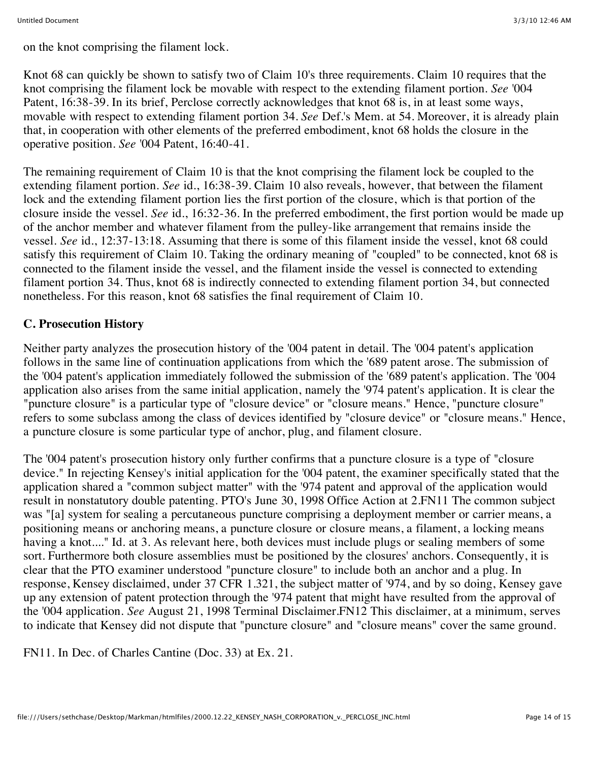on the knot comprising the filament lock.

Knot 68 can quickly be shown to satisfy two of Claim 10's three requirements. Claim 10 requires that the knot comprising the filament lock be movable with respect to the extending filament portion. *See* '004 Patent, 16:38-39. In its brief, Perclose correctly acknowledges that knot 68 is, in at least some ways, movable with respect to extending filament portion 34. *See* Def.'s Mem. at 54. Moreover, it is already plain that, in cooperation with other elements of the preferred embodiment, knot 68 holds the closure in the operative position. *See* '004 Patent, 16:40-41.

The remaining requirement of Claim 10 is that the knot comprising the filament lock be coupled to the extending filament portion. *See* id., 16:38-39. Claim 10 also reveals, however, that between the filament lock and the extending filament portion lies the first portion of the closure, which is that portion of the closure inside the vessel. *See* id., 16:32-36. In the preferred embodiment, the first portion would be made up of the anchor member and whatever filament from the pulley-like arrangement that remains inside the vessel. *See* id., 12:37-13:18. Assuming that there is some of this filament inside the vessel, knot 68 could satisfy this requirement of Claim 10. Taking the ordinary meaning of "coupled" to be connected, knot 68 is connected to the filament inside the vessel, and the filament inside the vessel is connected to extending filament portion 34. Thus, knot 68 is indirectly connected to extending filament portion 34, but connected nonetheless. For this reason, knot 68 satisfies the final requirement of Claim 10.

## **C. Prosecution History**

Neither party analyzes the prosecution history of the '004 patent in detail. The '004 patent's application follows in the same line of continuation applications from which the '689 patent arose. The submission of the '004 patent's application immediately followed the submission of the '689 patent's application. The '004 application also arises from the same initial application, namely the '974 patent's application. It is clear the "puncture closure" is a particular type of "closure device" or "closure means." Hence, "puncture closure" refers to some subclass among the class of devices identified by "closure device" or "closure means." Hence, a puncture closure is some particular type of anchor, plug, and filament closure.

The '004 patent's prosecution history only further confirms that a puncture closure is a type of "closure device." In rejecting Kensey's initial application for the '004 patent, the examiner specifically stated that the application shared a "common subject matter" with the '974 patent and approval of the application would result in nonstatutory double patenting. PTO's June 30, 1998 Office Action at 2.FN11 The common subject was "[a] system for sealing a percutaneous puncture comprising a deployment member or carrier means, a positioning means or anchoring means, a puncture closure or closure means, a filament, a locking means having a knot...." Id. at 3. As relevant here, both devices must include plugs or sealing members of some sort. Furthermore both closure assemblies must be positioned by the closures' anchors. Consequently, it is clear that the PTO examiner understood "puncture closure" to include both an anchor and a plug. In response, Kensey disclaimed, under 37 CFR 1.321, the subject matter of '974, and by so doing, Kensey gave up any extension of patent protection through the '974 patent that might have resulted from the approval of the '004 application. *See* August 21, 1998 Terminal Disclaimer.FN12 This disclaimer, at a minimum, serves to indicate that Kensey did not dispute that "puncture closure" and "closure means" cover the same ground.

FN11. In Dec. of Charles Cantine (Doc. 33) at Ex. 21.